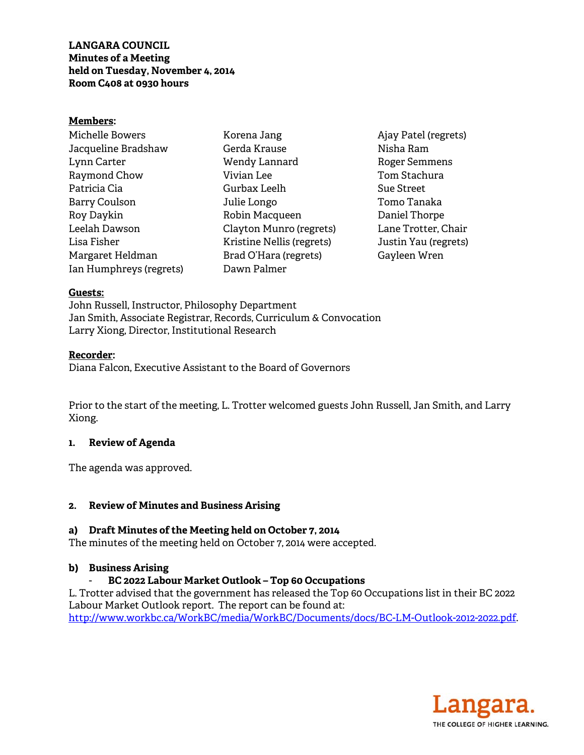## **LANGARA COUNCIL Minutes of a Meeting held on Tuesday, November 4, 2014 Room C408 at 0930 hours**

#### **Members:**

Michelle Bowers Jacqueline Bradshaw Lynn Carter Raymond Chow Patricia Cia Barry Coulson Roy Daykin Leelah Dawson Lisa Fisher Margaret Heldman Ian Humphreys (regrets)

Korena Jang Gerda Krause Wendy Lannard Vivian Lee Gurbax Leelh Julie Longo Robin Macqueen Clayton Munro (regrets) Kristine Nellis (regrets) Brad O'Hara (regrets) Dawn Palmer

Ajay Patel (regrets) Nisha Ram Roger Semmens Tom Stachura Sue Street Tomo Tanaka Daniel Thorpe Lane Trotter, Chair Justin Yau (regrets) Gayleen Wren

#### **Guests:**

John Russell, Instructor, Philosophy Department Jan Smith, Associate Registrar, Records, Curriculum & Convocation Larry Xiong, Director, Institutional Research

#### **Recorder:**

Diana Falcon, Executive Assistant to the Board of Governors

Prior to the start of the meeting, L. Trotter welcomed guests John Russell, Jan Smith, and Larry Xiong.

## **1. Review of Agenda**

The agenda was approved.

## **2. Review of Minutes and Business Arising**

## **a) Draft Minutes of the Meeting held on October 7, 2014**

The minutes of the meeting held on October 7, 2014 were accepted.

## **b) Business Arising**

## - **BC 2022 Labour Market Outlook – Top 60 Occupations**

L. Trotter advised that the government has released the Top 60 Occupations list in their BC 2022 Labour Market Outlook report. The report can be found at: http://www.workbc.ca/WorkBC/media/WorkBC/Documents/docs/BC-LM-Outlook-2012-2022.pdf.

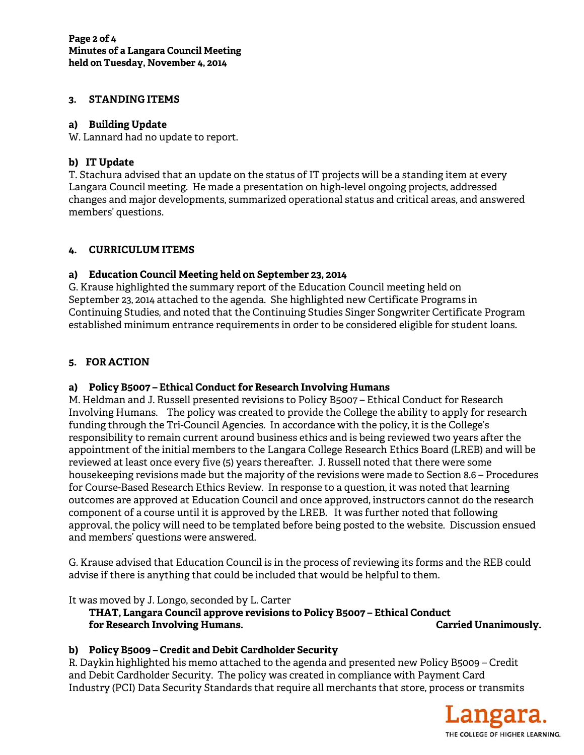#### **3. STANDING ITEMS**

#### **a) Building Update**

W. Lannard had no update to report.

## **b) IT Update**

T. Stachura advised that an update on the status of IT projects will be a standing item at every Langara Council meeting. He made a presentation on high-level ongoing projects, addressed changes and major developments, summarized operational status and critical areas, and answered members' questions.

#### **4. CURRICULUM ITEMS**

#### **a) Education Council Meeting held on September 23, 2014**

G. Krause highlighted the summary report of the Education Council meeting held on September 23, 2014 attached to the agenda. She highlighted new Certificate Programs in Continuing Studies, and noted that the Continuing Studies Singer Songwriter Certificate Program established minimum entrance requirements in order to be considered eligible for student loans.

## **5. FOR ACTION**

## **a) Policy B5007 – Ethical Conduct for Research Involving Humans**

M. Heldman and J. Russell presented revisions to Policy B5007 – Ethical Conduct for Research Involving Humans. The policy was created to provide the College the ability to apply for research funding through the Tri-Council Agencies. In accordance with the policy, it is the College's responsibility to remain current around business ethics and is being reviewed two years after the appointment of the initial members to the Langara College Research Ethics Board (LREB) and will be reviewed at least once every five (5) years thereafter. J. Russell noted that there were some housekeeping revisions made but the majority of the revisions were made to Section 8.6 – Procedures for Course-Based Research Ethics Review. In response to a question, it was noted that learning outcomes are approved at Education Council and once approved, instructors cannot do the research component of a course until it is approved by the LREB. It was further noted that following approval, the policy will need to be templated before being posted to the website. Discussion ensued and members' questions were answered.

G. Krause advised that Education Council is in the process of reviewing its forms and the REB could advise if there is anything that could be included that would be helpful to them.

It was moved by J. Longo, seconded by L. Carter

 **THAT, Langara Council approve revisions to Policy B5007 – Ethical Conduct for Research Involving Humans. Carried Unanimously.** 

## **b) Policy B5009 – Credit and Debit Cardholder Security**

R. Daykin highlighted his memo attached to the agenda and presented new Policy B5009 – Credit and Debit Cardholder Security. The policy was created in compliance with Payment Card Industry (PCI) Data Security Standards that require all merchants that store, process or transmits

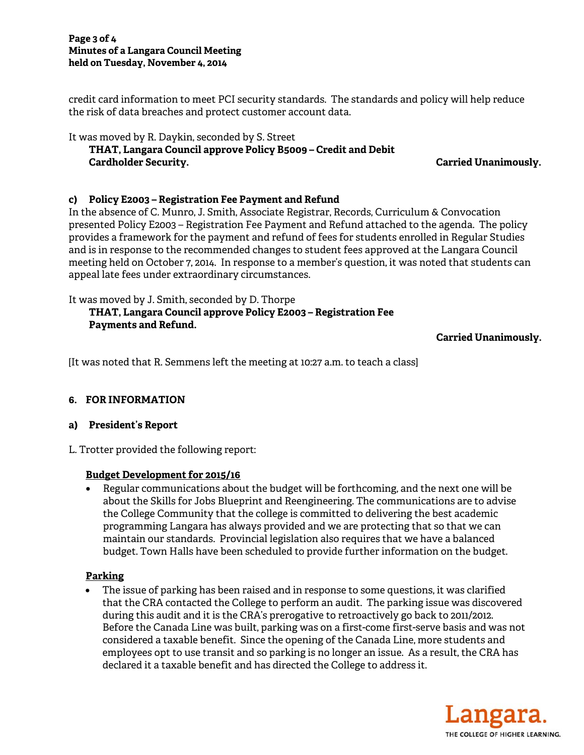#### **Page 3 of 4 Minutes of a Langara Council Meeting held on Tuesday, November 4, 2014**

credit card information to meet PCI security standards. The standards and policy will help reduce the risk of data breaches and protect customer account data.

#### It was moved by R. Daykin, seconded by S. Street  **THAT, Langara Council approve Policy B5009 – Credit and Debit Cardholder Security. Carried Unanimously.**

# **c) Policy E2003 – Registration Fee Payment and Refund**

In the absence of C. Munro, J. Smith, Associate Registrar, Records, Curriculum & Convocation presented Policy E2003 – Registration Fee Payment and Refund attached to the agenda. The policy provides a framework for the payment and refund of fees for students enrolled in Regular Studies and is in response to the recommended changes to student fees approved at the Langara Council meeting held on October 7, 2014. In response to a member's question, it was noted that students can appeal late fees under extraordinary circumstances.

It was moved by J. Smith, seconded by D. Thorpe

# **THAT, Langara Council approve Policy E2003 – Registration Fee Payments and Refund.**

**Carried Unanimously.** 

[It was noted that R. Semmens left the meeting at 10:27 a.m. to teach a class]

# **6. FOR INFORMATION**

# **a) President's Report**

L. Trotter provided the following report:

# **Budget Development for 2015/16**

• Regular communications about the budget will be forthcoming, and the next one will be about the Skills for Jobs Blueprint and Reengineering. The communications are to advise the College Community that the college is committed to delivering the best academic programming Langara has always provided and we are protecting that so that we can maintain our standards. Provincial legislation also requires that we have a balanced budget. Town Halls have been scheduled to provide further information on the budget.

# **Parking**

• The issue of parking has been raised and in response to some questions, it was clarified that the CRA contacted the College to perform an audit. The parking issue was discovered during this audit and it is the CRA's prerogative to retroactively go back to 2011/2012. Before the Canada Line was built, parking was on a first-come first-serve basis and was not considered a taxable benefit. Since the opening of the Canada Line, more students and employees opt to use transit and so parking is no longer an issue. As a result, the CRA has declared it a taxable benefit and has directed the College to address it.